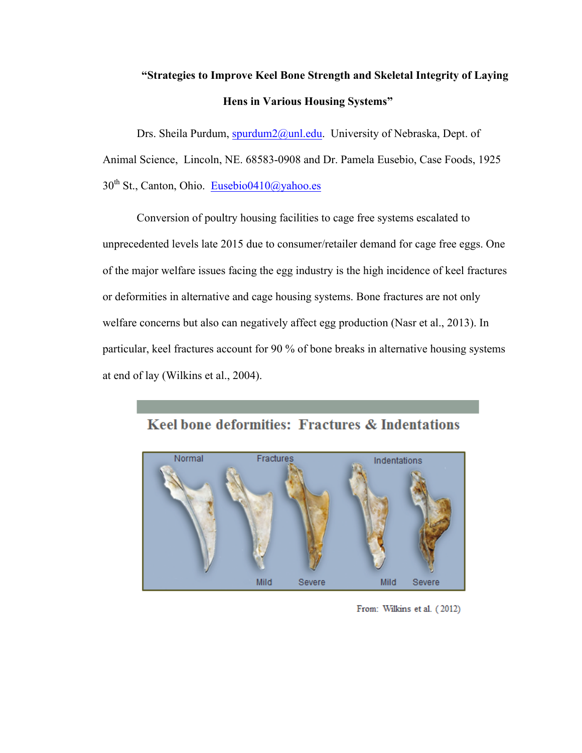# **"Strategies to Improve Keel Bone Strength and Skeletal Integrity of Laying Hens in Various Housing Systems"**

Drs. Sheila Purdum, spurdum2@unl.edu. University of Nebraska, Dept. of Animal Science, Lincoln, NE. 68583-0908 and Dr. Pamela Eusebio, Case Foods, 1925  $30<sup>th</sup>$  St., Canton, Ohio. Eusebio0410@yahoo.es

Conversion of poultry housing facilities to cage free systems escalated to unprecedented levels late 2015 due to consumer/retailer demand for cage free eggs. One of the major welfare issues facing the egg industry is the high incidence of keel fractures or deformities in alternative and cage housing systems. Bone fractures are not only welfare concerns but also can negatively affect egg production (Nasr et al., 2013). In particular, keel fractures account for 90 % of bone breaks in alternative housing systems at end of lay (Wilkins et al., 2004).



## Keel bone deformities: Fractures & Indentations

From: Wilkins et al. (2012)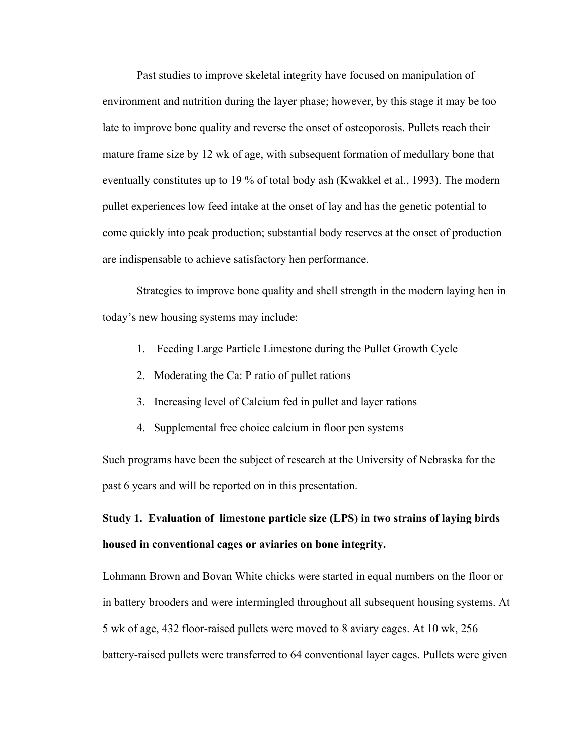Past studies to improve skeletal integrity have focused on manipulation of environment and nutrition during the layer phase; however, by this stage it may be too late to improve bone quality and reverse the onset of osteoporosis. Pullets reach their mature frame size by 12 wk of age, with subsequent formation of medullary bone that eventually constitutes up to 19 % of total body ash (Kwakkel et al., 1993). The modern pullet experiences low feed intake at the onset of lay and has the genetic potential to come quickly into peak production; substantial body reserves at the onset of production are indispensable to achieve satisfactory hen performance.

Strategies to improve bone quality and shell strength in the modern laying hen in today's new housing systems may include:

- 1. Feeding Large Particle Limestone during the Pullet Growth Cycle
- 2. Moderating the Ca: P ratio of pullet rations
- 3. Increasing level of Calcium fed in pullet and layer rations
- 4. Supplemental free choice calcium in floor pen systems

Such programs have been the subject of research at the University of Nebraska for the past 6 years and will be reported on in this presentation.

**Study 1. Evaluation of limestone particle size (LPS) in two strains of laying birds housed in conventional cages or aviaries on bone integrity.**

Lohmann Brown and Bovan White chicks were started in equal numbers on the floor or in battery brooders and were intermingled throughout all subsequent housing systems. At 5 wk of age, 432 floor-raised pullets were moved to 8 aviary cages. At 10 wk, 256 battery-raised pullets were transferred to 64 conventional layer cages. Pullets were given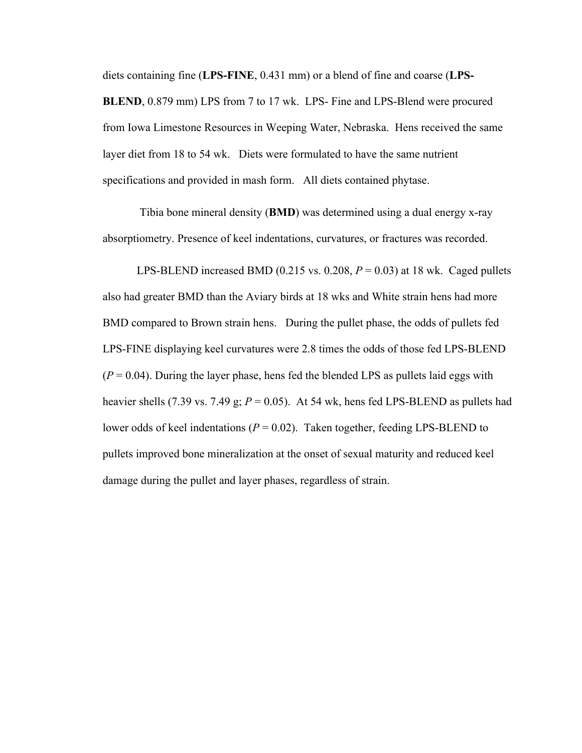diets containing fine (**LPS-FINE**, 0.431 mm) or a blend of fine and coarse (**LPS-BLEND**, 0.879 mm) LPS from 7 to 17 wk. LPS- Fine and LPS-Blend were procured from Iowa Limestone Resources in Weeping Water, Nebraska. Hens received the same layer diet from 18 to 54 wk. Diets were formulated to have the same nutrient specifications and provided in mash form. All diets contained phytase.

Tibia bone mineral density (**BMD**) was determined using a dual energy x-ray absorptiometry. Presence of keel indentations, curvatures, or fractures was recorded.

LPS-BLEND increased BMD (0.215 vs. 0.208,  $P = 0.03$ ) at 18 wk. Caged pullets also had greater BMD than the Aviary birds at 18 wks and White strain hens had more BMD compared to Brown strain hens. During the pullet phase, the odds of pullets fed LPS-FINE displaying keel curvatures were 2.8 times the odds of those fed LPS-BLEND  $(P = 0.04)$ . During the layer phase, hens fed the blended LPS as pullets laid eggs with heavier shells (7.39 vs. 7.49 g; *P* = 0.05). At 54 wk, hens fed LPS-BLEND as pullets had lower odds of keel indentations ( $P = 0.02$ ). Taken together, feeding LPS-BLEND to pullets improved bone mineralization at the onset of sexual maturity and reduced keel damage during the pullet and layer phases, regardless of strain.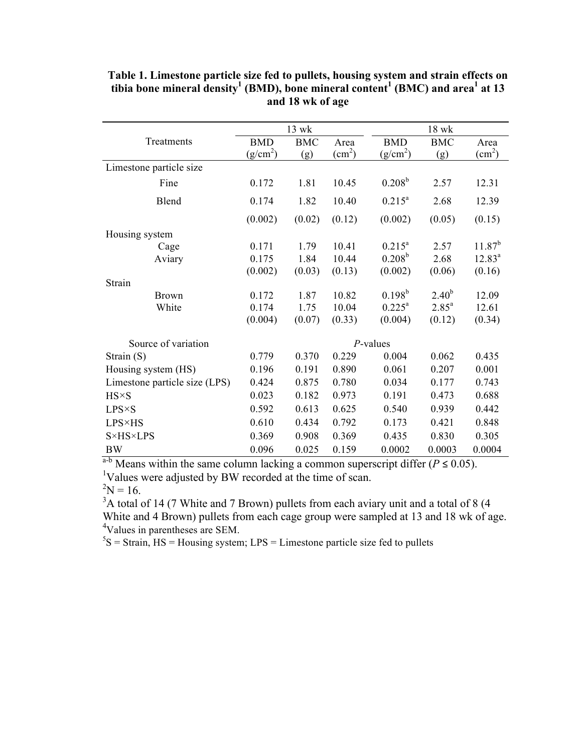|                               | 13 wk      |            |                        | 18 wk                |                |                         |  |
|-------------------------------|------------|------------|------------------------|----------------------|----------------|-------------------------|--|
| Treatments                    | <b>BMD</b> | <b>BMC</b> | Area                   | <b>BMD</b>           | <b>BMC</b>     | Area                    |  |
|                               | $(g/cm^2)$ | (g)        | $\text{(cm}^2\text{)}$ | (g/cm <sup>2</sup> ) | (g)            | $\text{ (cm}^2\text{)}$ |  |
| Limestone particle size       |            |            |                        |                      |                |                         |  |
| Fine                          | 0.172      | 1.81       | 10.45                  | $0.208^{\rm b}$      | 2.57           | 12.31                   |  |
| Blend                         | 0.174      | 1.82       | 10.40                  | $0.215^a$            | 2.68           | 12.39                   |  |
|                               | (0.002)    | (0.02)     | (0.12)                 | (0.002)              | (0.05)         | (0.15)                  |  |
| Housing system                |            |            |                        |                      |                |                         |  |
| Cage                          | 0.171      | 1.79       | 10.41                  | $0.215^a$            | 2.57           | $11.87^{b}$             |  |
| Aviary                        | 0.175      | 1.84       | 10.44                  | $0.208^{\rm b}$      | 2.68           | $12.83^a$               |  |
|                               | (0.002)    | (0.03)     | (0.13)                 | (0.002)              | (0.06)         | (0.16)                  |  |
| Strain                        |            |            |                        |                      |                |                         |  |
| <b>Brown</b>                  | 0.172      | 1.87       | 10.82                  | $0.198^{b}$          | $2.40^{b}$     | 12.09                   |  |
| White                         | 0.174      | 1.75       | 10.04                  | $0.225^{\text{a}}$   | $2.85^{\circ}$ | 12.61                   |  |
|                               | (0.004)    | (0.07)     | (0.33)                 | (0.004)              | (0.12)         | (0.34)                  |  |
| Source of variation           |            |            |                        | $P$ -values          |                |                         |  |
| Strain $(S)$                  | 0.779      | 0.370      | 0.229                  | 0.004                | 0.062          | 0.435                   |  |
| Housing system (HS)           | 0.196      | 0.191      | 0.890                  | 0.061                | 0.207          | 0.001                   |  |
| Limestone particle size (LPS) | 0.424      | 0.875      | 0.780                  | 0.034                | 0.177          | 0.743                   |  |
| $H S \times S$                | 0.023      | 0.182      | 0.973                  | 0.191                | 0.473          | 0.688                   |  |
| $LPS \times S$                | 0.592      | 0.613      | 0.625                  | 0.540                | 0.939          | 0.442                   |  |
| <b>LPS×HS</b>                 | 0.610      | 0.434      | 0.792                  | 0.173                | 0.421          | 0.848                   |  |
| <b>S</b> ×HS×LPS              | 0.369      | 0.908      | 0.369                  | 0.435                | 0.830          | 0.305                   |  |
| <b>BW</b>                     | 0.096      | 0.025      | 0.159                  | 0.0002               | 0.0003         | 0.0004                  |  |

**Table 1. Limestone particle size fed to pullets, housing system and strain effects on tibia bone mineral density<sup>1</sup> (BMD), bone mineral content<sup>1</sup> (BMC) and area<sup>1</sup> at 13 and 18 wk of age**

a<sup>-b</sup> Means within the same column lacking a common superscript differ ( $P \le 0.05$ ). <sup>1</sup>Values were adjusted by BW recorded at the time of scan.

 $2N = 16$ .

 $3A$  total of 14 (7 White and 7 Brown) pullets from each aviary unit and a total of 8 (4 White and 4 Brown) pullets from each cage group were sampled at 13 and 18 wk of age. 4 Values in parentheses are SEM.

 ${}^{5}S$  = Strain, HS = Housing system; LPS = Limestone particle size fed to pullets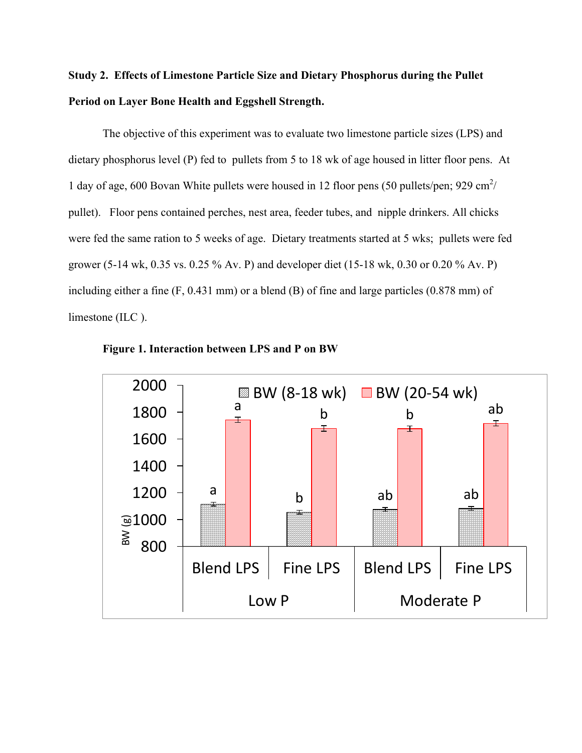## **Study 2. Effects of Limestone Particle Size and Dietary Phosphorus during the Pullet Period on Layer Bone Health and Eggshell Strength.**

The objective of this experiment was to evaluate two limestone particle sizes (LPS) and dietary phosphorus level (P) fed to pullets from 5 to 18 wk of age housed in litter floor pens. At 1 day of age, 600 Bovan White pullets were housed in 12 floor pens (50 pullets/pen; 929 cm<sup>2</sup>/ pullet). Floor pens contained perches, nest area, feeder tubes, and nipple drinkers. All chicks were fed the same ration to 5 weeks of age. Dietary treatments started at 5 wks; pullets were fed grower (5-14 wk, 0.35 vs. 0.25 % Av. P) and developer diet (15-18 wk, 0.30 or 0.20 % Av. P) including either a fine (F, 0.431 mm) or a blend (B) of fine and large particles (0.878 mm) of limestone (ILC ).



**Figure 1. Interaction between LPS and P on BW**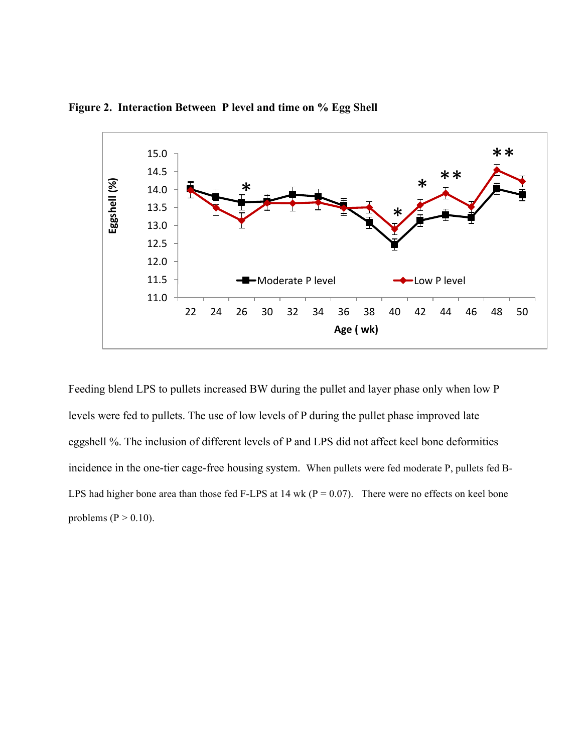

**Figure 2. Interaction Between P level and time on % Egg Shell**

Feeding blend LPS to pullets increased BW during the pullet and layer phase only when low P levels were fed to pullets. The use of low levels of P during the pullet phase improved late eggshell %. The inclusion of different levels of P and LPS did not affect keel bone deformities incidence in the one-tier cage-free housing system. When pullets were fed moderate P, pullets fed B-LPS had higher bone area than those fed F-LPS at 14 wk ( $P = 0.07$ ). There were no effects on keel bone problems ( $P > 0.10$ ).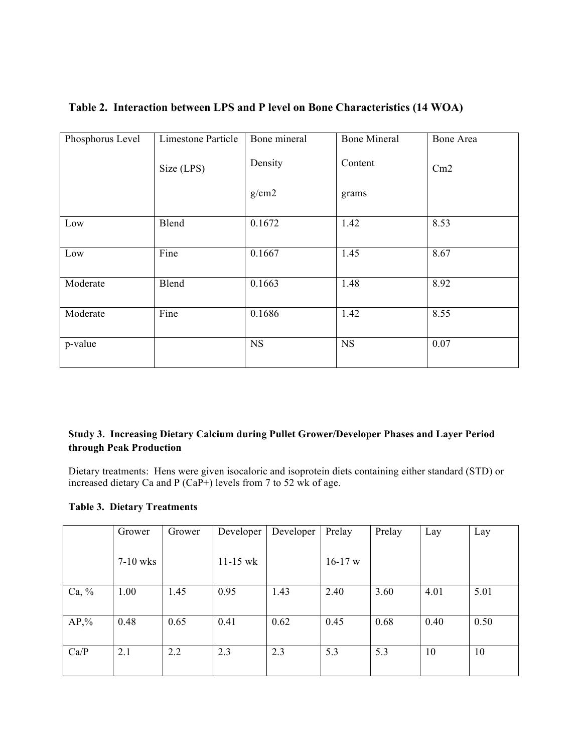|  |  |  | Table 2. Interaction between LPS and P level on Bone Characteristics (14 WOA) |  |
|--|--|--|-------------------------------------------------------------------------------|--|
|  |  |  |                                                                               |  |

| Phosphorus Level | Limestone Particle | Bone mineral | <b>Bone Mineral</b> | Bone Area |
|------------------|--------------------|--------------|---------------------|-----------|
|                  | Size (LPS)         | Density      | Content             | Cm2       |
|                  |                    | g/cm2        | grams               |           |
| Low              | Blend              | 0.1672       | 1.42                | 8.53      |
| Low              | Fine               | 0.1667       | 1.45                | 8.67      |
| Moderate         | Blend              | 0.1663       | 1.48                | 8.92      |
| Moderate         | Fine               | 0.1686       | 1.42                | 8.55      |
| p-value          |                    | <b>NS</b>    | <b>NS</b>           | 0.07      |

## **Study 3. Increasing Dietary Calcium during Pullet Grower/Developer Phases and Layer Period through Peak Production**

Dietary treatments: Hens were given isocaloric and isoprotein diets containing either standard (STD) or increased dietary Ca and P (CaP+) levels from 7 to 52 wk of age.

**Table 3. Dietary Treatments** 

|          | Grower     | Grower | Developer    | Developer | Prelay    | Prelay | Lay  | Lay  |
|----------|------------|--------|--------------|-----------|-----------|--------|------|------|
|          | $7-10$ wks |        | $11 - 15$ wk |           | $16-17$ w |        |      |      |
| Ca, $\%$ | 1.00       | 1.45   | 0.95         | 1.43      | 2.40      | 3.60   | 4.01 | 5.01 |
| $AP,\%$  | 0.48       | 0.65   | 0.41         | 0.62      | 0.45      | 0.68   | 0.40 | 0.50 |
| Ca/P     | 2.1        | 2.2    | 2.3          | 2.3       | 5.3       | 5.3    | 10   | 10   |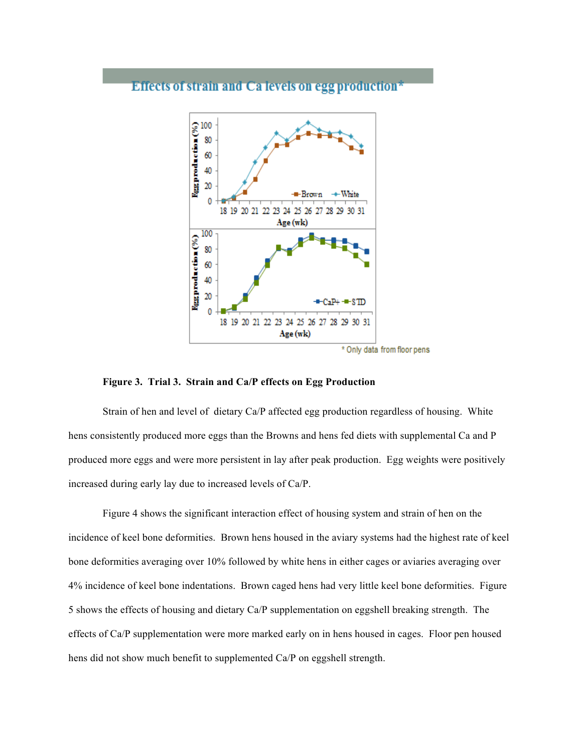## Effects of strain and Ca levels on egg production\*



### **Figure 3. Trial 3. Strain and Ca/P effects on Egg Production**

Strain of hen and level of dietary Ca/P affected egg production regardless of housing. White hens consistently produced more eggs than the Browns and hens fed diets with supplemental Ca and P produced more eggs and were more persistent in lay after peak production. Egg weights were positively increased during early lay due to increased levels of Ca/P.

Figure 4 shows the significant interaction effect of housing system and strain of hen on the incidence of keel bone deformities. Brown hens housed in the aviary systems had the highest rate of keel bone deformities averaging over 10% followed by white hens in either cages or aviaries averaging over 4% incidence of keel bone indentations. Brown caged hens had very little keel bone deformities. Figure 5 shows the effects of housing and dietary Ca/P supplementation on eggshell breaking strength. The effects of Ca/P supplementation were more marked early on in hens housed in cages. Floor pen housed hens did not show much benefit to supplemented Ca/P on eggshell strength.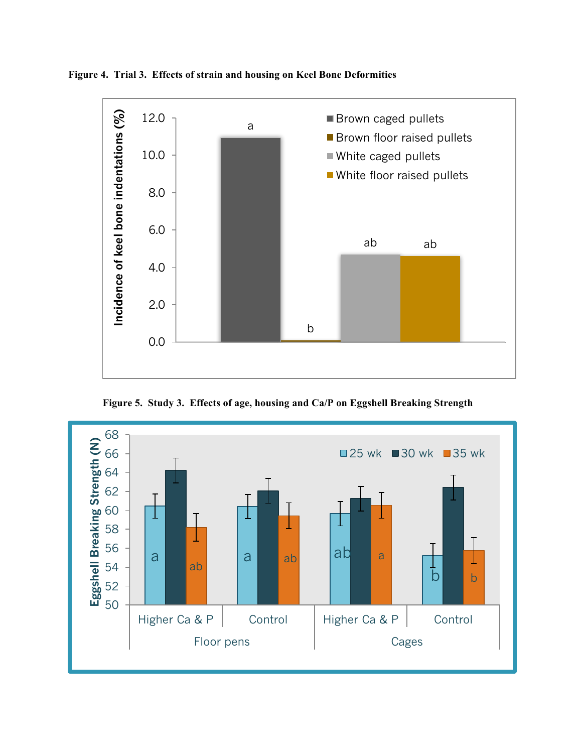

**Figure 4. Trial 3. Effects of strain and housing on Keel Bone Deformities**

**Figure 5. Study 3. Effects of age, housing and Ca/P on Eggshell Breaking Strength**

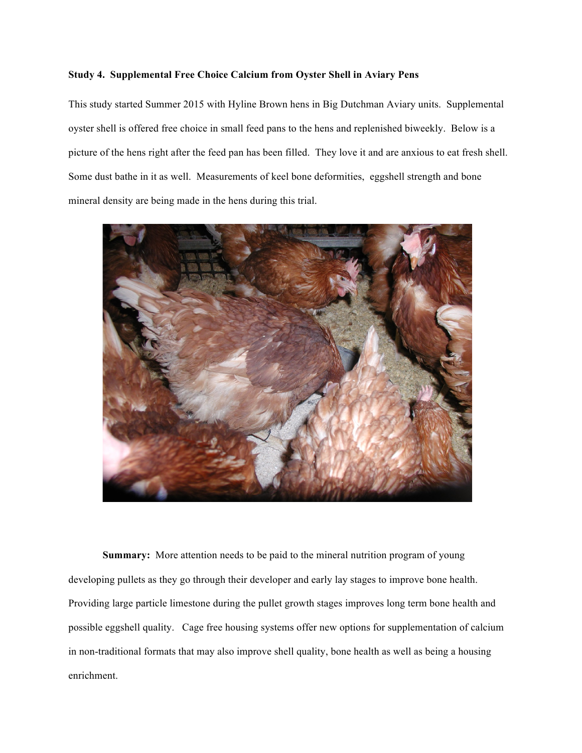### **Study 4. Supplemental Free Choice Calcium from Oyster Shell in Aviary Pens**

This study started Summer 2015 with Hyline Brown hens in Big Dutchman Aviary units. Supplemental oyster shell is offered free choice in small feed pans to the hens and replenished biweekly. Below is a picture of the hens right after the feed pan has been filled. They love it and are anxious to eat fresh shell. Some dust bathe in it as well. Measurements of keel bone deformities, eggshell strength and bone mineral density are being made in the hens during this trial.



**Summary:** More attention needs to be paid to the mineral nutrition program of young developing pullets as they go through their developer and early lay stages to improve bone health. Providing large particle limestone during the pullet growth stages improves long term bone health and possible eggshell quality. Cage free housing systems offer new options for supplementation of calcium in non-traditional formats that may also improve shell quality, bone health as well as being a housing enrichment.